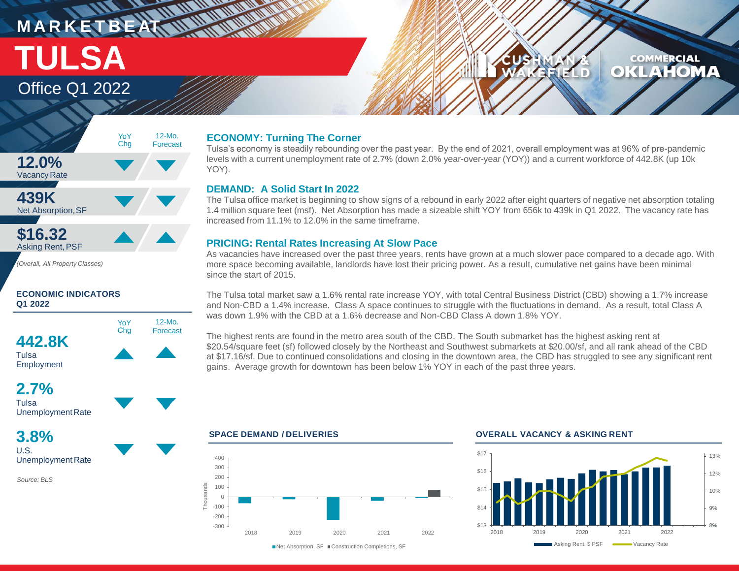# **MARKETBEAT WWW.WWW** Office Q1 2022 **TULSA**

### **COMMERCIAL KLAHOM**  $\bullet$ LD.



### **ECONOMIC INDICATORS Q1 2022**



## **2.7%** Tulsa

Unemployment Rate

**3.8%** U.S. Unemployment Rate

*Source: BLS*

### **ECONOMY: Turning The Corner**

Tulsa's economy is steadily rebounding over the past year. By the end of 2021, overall employment was at 96% of pre-pandemic levels with a current unemployment rate of 2.7% (down 2.0% year-over-year (YOY)) and a current workforce of 442.8K (up 10k YOY).

### **DEMAND: A Solid Start In 2022**

The Tulsa office market is beginning to show signs of a rebound in early 2022 after eight quarters of negative net absorption totaling 1.4 million square feet (msf). Net Absorption has made a sizeable shift YOY from 656k to 439k in Q1 2022. The vacancy rate has increased from 11.1% to 12.0% in the same timeframe.

### **PRICING: Rental Rates Increasing At Slow Pace**

As vacancies have increased over the past three years, rents have grown at a much slower pace compared to a decade ago. With more space becoming available, landlords have lost their pricing power. As a result, cumulative net gains have been minimal since the start of 2015.

The Tulsa total market saw a 1.6% rental rate increase YOY, with total Central Business District (CBD) showing a 1.7% increase and Non-CBD a 1.4% increase. Class A space continues to struggle with the fluctuations in demand. As a result, total Class A was down 1.9% with the CBD at a 1.6% decrease and Non-CBD Class A down 1.8% YOY.

The highest rents are found in the metro area south of the CBD. The South submarket has the highest asking rent at \$20.54/square feet (sf) followed closely by the Northeast and Southwest submarkets at \$20.00/sf, and all rank ahead of the CBD at \$17.16/sf. Due to continued consolidations and closing in the downtown area, the CBD has struggled to see any significant rent gains. Average growth for downtown has been below 1% YOY in each of the past three years.



### **SPACE DEMAND / DELIVERIES OVERALL VACANCY & ASKING RENT**